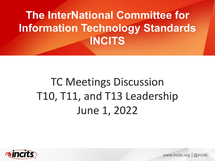# **The InterNational Committee for Information Technology Standards INCITS**

# TC Meetings Discussion T10, T11, and T13 Leadership June 1, 2022



*www.incits.org │@incits*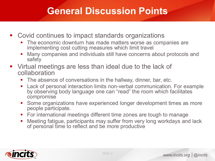#### **General Discussion Points**

- Covid continues to impact standards organizations
	- The economic downturn has made matters worse as companies are implementing cost cutting measures which limit travel
	- Many companies and individuals still have concerns about protocols and safety
- Virtual meetings are less than ideal due to the lack of collaboration
	- The absence of conversations in the hallway, dinner, bar, etc.
	- **Lack of personal interaction limits non-verbal communication. For example** by observing body language one can "read" the room which facilitates compromise
	- **Some organizations have experienced longer development times as more** people participate.
	- For international meetings different time zones are tough to manage
	- Meeting fatigue, participants may suffer from very long workdays and lack of personal time to reflect and be more productive

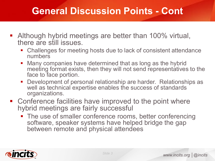#### **General Discussion Points - Cont**

- **Although hybrid meetings are better than 100% virtual,** there are still issues.
	- Challenges for meeting hosts due to lack of consistent attendance numbers
	- Many companies have determined that as long as the hybrid meeting format exists, then they will not send representatives to the face to face portion.
	- **Development of personal relationship are harder. Relationships as** well as technical expertise enables the success of standards organizations.
- Conference facilities have improved to the point where hybrid meetings are fairly successful
	- The use of smaller conference rooms, better conferencing software, speaker systems have helped bridge the gap between remote and physical attendees

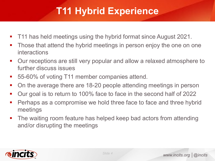# **T11 Hybrid Experience**

- T11 has held meetings using the hybrid format since August 2021.
- **Those that attend the hybrid meetings in person enjoy the one on one** interactions
- Our receptions are still very popular and allow a relaxed atmosphere to further discuss issues
- 55-60% of voting T11 member companies attend.
- On the average there are 18-20 people attending meetings in person
- Our goal is to return to 100% face to face in the second half of 2022
- **Perhaps as a compromise we hold three face to face and three hybrid** meetings
- The waiting room feature has helped keep bad actors from attending and/or disrupting the meetings

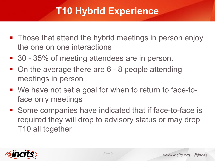## **T10 Hybrid Experience**

- Those that attend the hybrid meetings in person enjoy the one on one interactions
- 30 35% of meeting attendees are in person.
- On the average there are 6 8 people attending meetings in person
- We have not set a goal for when to return to face-toface only meetings
- Some companies have indicated that if face-to-face is required they will drop to advisory status or may drop T10 all together